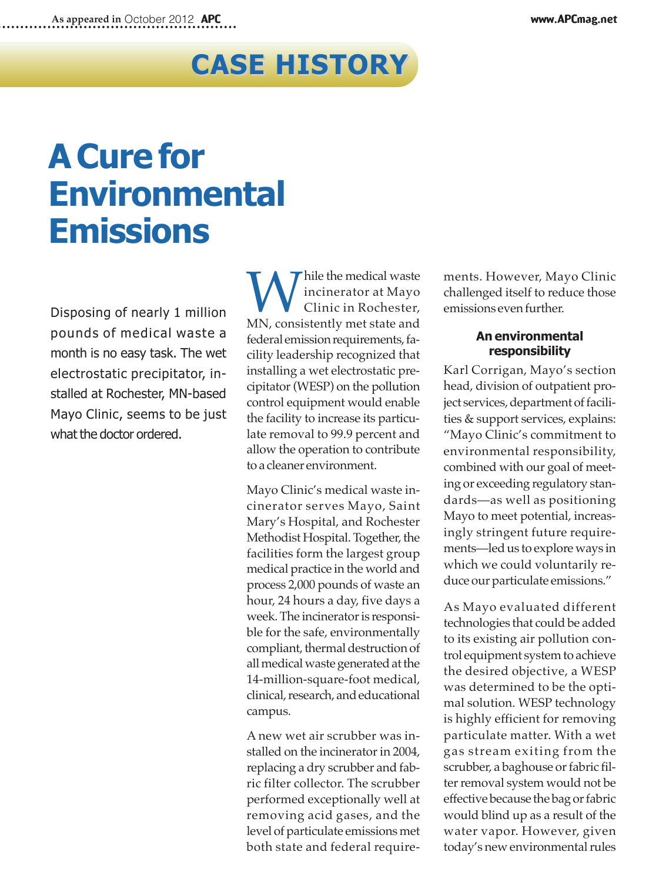## **Case history**

## **aCure for Environmental emissions**

Disposing of nearly 1 million pounds of medical waste a month is no easy task. The wet electrostatic precipitator, installed at Rochester, MN-based Mayo Clinic, seems to be just what the doctor ordered.

While the medical waste<br>Clinic in Rochester,<br>MN, consistently met state and incinerator at Mayo Clinic in Rochester, federal emission requirements, facility leadership recognized that installing a wet electrostatic precipitator(WESP) on the pollution control equipment would enable the facility to increase its particulate removal to 99.9 percent and allow the operation to contribute toa cleaner environment.

Mayo Clinic's medical waste incinerator serves Mayo, Saint Mary's Hospital, and Rochester Methodist Hospital. Together, the facilities form the largest group medical practice in the world and process 2,000 pounds of waste an hour, 24 hours a day, five days a week. The incinerator is responsible for the safe, environmentally compliant, thermal destruction of all medical waste generated at the 14-million-square-foot medical, clinical, research, and educational campus.

A new wet air scrubber was installed on the incinerator in 2004, replacing a dry scrubber and fabric filter collector. The scrubber performed exceptionally well at removing acid gases, and the level of particulate emissions met both state and federal requirements. However, Mayo Clinic challenged itself to reduce those emissions even further.

## **an environmental responsibility**

Karl Corrigan, Mayo's section head, division of outpatient project services, department of facilities & support services, explains: "Mayo Clinic's commitment to environmental responsibility, combined with our goal of meeting or exceeding regulatory standards—as well as positioning Mayo to meet potential, increasingly stringent future requirements—led us to explore ways in which we could voluntarily reduce our particulate emissions."

As Mayo evaluated different technologies that could be added to its existing air pollution control equipment system to achieve the desired objective, a WESP was determined to be the optimal solution. WESP technology is highly efficient for removing particulate matter. With a wet gas stream exiting from the scrubber, a baghouse or fabric filter removal system would not be effective because the bag or fabric would blind up as a result of the water vapor. However, given today's new environmental rules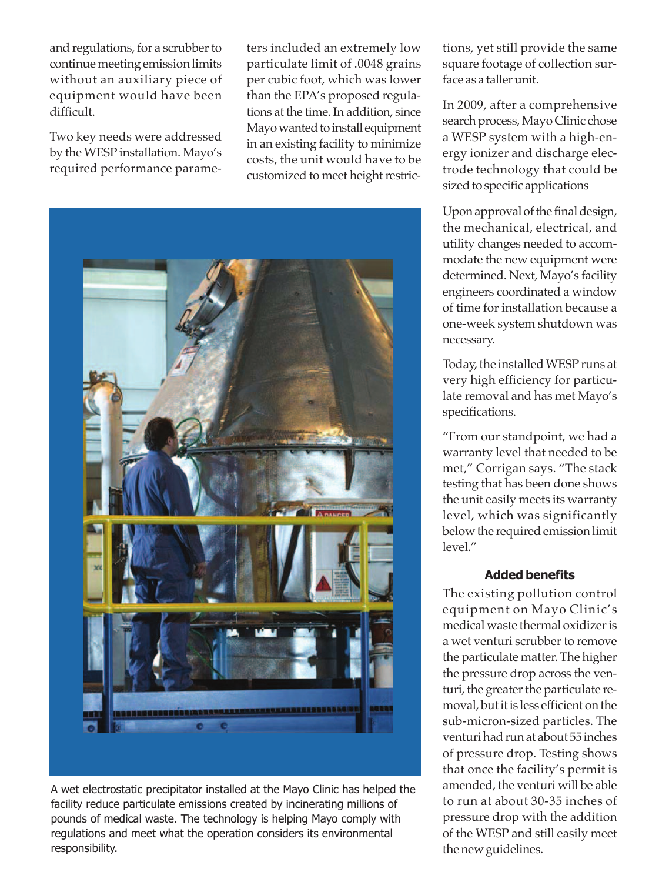and regulations, for a scrubber to continue meeting emission limits without an auxiliary piece of equipment would have been difficult.

Two key needs were addressed by the WESP installation. Mayo's required performance parame-

ters included an extremely low particulate limit of .0048 grains per cubic foot, which was lower than the EPA's proposed regulations at the time. In addition, since Mayo wanted to install equipment in an existing facility to minimize costs, the unit would have to be customized to meet height restric-



A wet electrostatic precipitator installed at the Mayo Clinic has helped the facility reduce particulate emissions created by incinerating millions of pounds of medical waste. The technology is helping Mayo comply with regulations and meet what the operation considers its environmental responsibility.

tions, yet still provide the same square footage of collection surface as a tallerunit.

In 2009, after a comprehensive search process, Mayo Clinic chose a WESP system with a high-energy ionizer and discharge electrode technology that could be sized to specific applications

Upon approval of the final design, the mechanical, electrical, and utility changes needed to accommodate the new equipment were determined. Next, Mayo's facility engineers coordinated a window of time for installation because a one-week system shutdown was necessary.

Today, the installed WESP runs at very high efficiency for particulate removal and has met Mayo's specifications.

"From our standpoint, we had a warranty level that needed to be met," Corrigan says. "The stack testing that has been done shows the unit easily meets its warranty level, which was significantly below the required emission limit level."

## **added benefits**

The existing pollution control equipment on Mayo Clinic's medical waste thermal oxidizeris a wet venturi scrubber to remove the particulate matter. The higher the pressure drop across the venturi, the greater the particulate removal, but it is less efficient on the sub-micron-sized particles. The venturi had run at about 55 inches of pressure drop. Testing shows that once the facility's permit is amended, the venturi will be able to run at about 30-35 inches of pressure drop with the addition of the WESP and still easily meet the new guidelines.